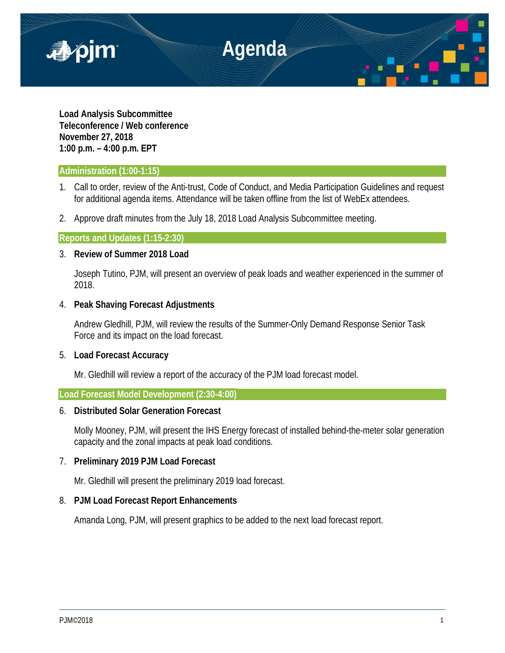

**Load Analysis Subcommittee Teleconference / Web conference November 27, 2018 1:00 p.m. – 4:00 p.m. EPT**

## **Administration (1:00-1:15)**

- 1. Call to order, review of the Anti-trust, Code of Conduct, and Media Participation Guidelines and request for additional agenda items. Attendance will be taken offline from the list of WebEx attendees.
- 2. Approve draft minutes from the July 18, 2018 Load Analysis Subcommittee meeting.

## **Reports and Updates (1:15-2:30)**

# 3. **Review of Summer 2018 Load**

Joseph Tutino, PJM, will present an overview of peak loads and weather experienced in the summer of 2018.

## 4. **Peak Shaving Forecast Adjustments**

Andrew Gledhill, PJM, will review the results of the Summer-Only Demand Response Senior Task Force and its impact on the load forecast.

## 5. **Load Forecast Accuracy**

Mr. Gledhill will review a report of the accuracy of the PJM load forecast model.

## **Load Forecast Model Development (2:30-4:00)**

## 6. **Distributed Solar Generation Forecast**

Molly Mooney, PJM, will present the IHS Energy forecast of installed behind-the-meter solar generation capacity and the zonal impacts at peak load conditions.

# 7. **Preliminary 2019 PJM Load Forecast**

Mr. Gledhill will present the preliminary 2019 load forecast.

# 8. **PJM Load Forecast Report Enhancements**

Amanda Long, PJM, will present graphics to be added to the next load forecast report.